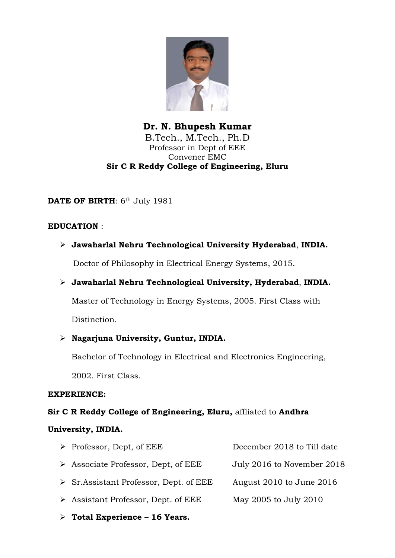

Dr. N. Bhupesh Kumar B.Tech., M.Tech., Ph.D Professor in Dept of EEE Convener EMC Sir C R Reddy College of Engineering, Eluru

# DATE OF BIRTH: 6th July 1981

#### EDUCATION :

 $\triangleright$  Jawaharlal Nehru Technological University Hyderabad, INDIA.

Doctor of Philosophy in Electrical Energy Systems, 2015.

### Jawaharlal Nehru Technological University, Hyderabad, INDIA.

Master of Technology in Energy Systems, 2005. First Class with Distinction.

### $\triangleright$  Nagarjuna University, Guntur, INDIA.

Bachelor of Technology in Electrical and Electronics Engineering, 2002. First Class.

#### EXPERIENCE:

### Sir C R Reddy College of Engineering, Eluru, affliated to Andhra

### University, INDIA.

| $\triangleright$ Professor, Dept, of EEE               | December 2018 to Till date |
|--------------------------------------------------------|----------------------------|
| $\triangleright$ Associate Professor, Dept, of EEE     | July 2016 to November 2018 |
| $\triangleright$ Sr. Assistant Professor, Dept. of EEE | August 2010 to June 2016   |
| $\triangleright$ Assistant Professor, Dept. of EEE     | May 2005 to July 2010      |
|                                                        |                            |

 $\triangleright$  Total Experience - 16 Years.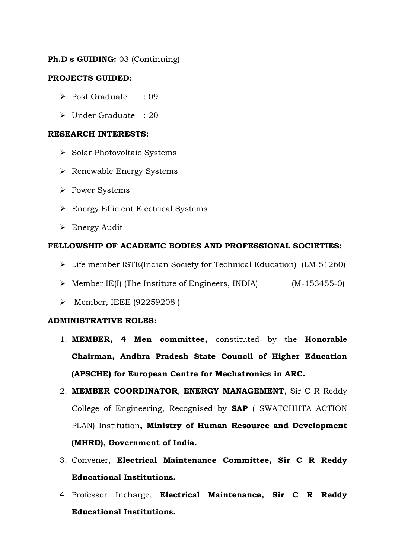### Ph.D s GUIDING: 03 (Continuing)

### PROJECTS GUIDED:

- Post Graduate : 09
- Under Graduate : 20

#### RESEARCH INTERESTS:

- Solar Photovoltaic Systems
- Renewable Energy Systems
- > Power Systems
- Energy Efficient Electrical Systems
- Energy Audit

#### FELLOWSHIP OF ACADEMIC BODIES AND PROFESSIONAL SOCIETIES:

- $\triangleright$  Life member ISTE(Indian Society for Technical Education) (LM 51260)
- $\triangleright$  Member IE(I) (The Institute of Engineers, INDIA) (M-153455-0)
- $\triangleright$  Member, IEEE (92259208)

#### ADMINISTRATIVE ROLES:

- 1. MEMBER, 4 Men committee, constituted by the Honorable Chairman, Andhra Pradesh State Council of Higher Education (APSCHE) for European Centre for Mechatronics in ARC.
- 2. MEMBER COORDINATOR, ENERGY MANAGEMENT, Sir C R Reddy College of Engineering, Recognised by SAP ( SWATCHHTA ACTION PLAN) Institution, Ministry of Human Resource and Development (MHRD), Government of India.
- 3. Convener, Electrical Maintenance Committee, Sir C R Reddy Educational Institutions.
- 4. Professor Incharge, Electrical Maintenance, Sir C R Reddy Educational Institutions.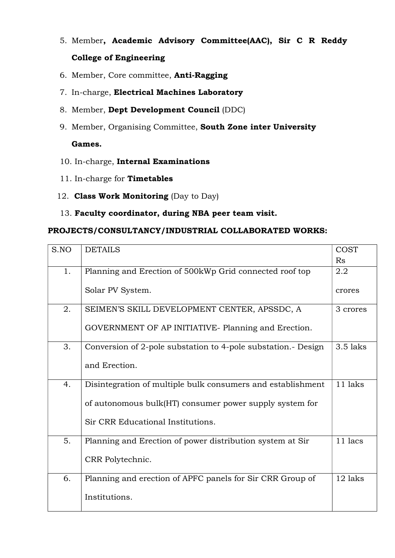- 5. Member, Academic Advisory Committee(AAC), Sir C R Reddy College of Engineering
- 6. Member, Core committee, Anti-Ragging
- 7. In-charge, Electrical Machines Laboratory
- 8. Member, Dept Development Council (DDC)
- 9. Member, Organising Committee, South Zone inter University

# Games.

- 10. In-charge, Internal Examinations
- 11. In-charge for **Timetables**
- 12. Class Work Monitoring (Day to Day)
- 13. Faculty coordinator, during NBA peer team visit.

# PROJECTS/CONSULTANCY/INDUSTRIAL COLLABORATED WORKS:

| S.NO | <b>DETAILS</b>                                               | <b>COST</b> |
|------|--------------------------------------------------------------|-------------|
|      |                                                              | Rs          |
| 1.   | Planning and Erection of 500kWp Grid connected roof top      | 2.2         |
|      |                                                              |             |
|      | Solar PV System.                                             | crores      |
| 2.   | SEIMEN'S SKILL DEVELOPMENT CENTER, APSSDC, A                 | 3 crores    |
|      |                                                              |             |
|      | GOVERNMENT OF AP INITIATIVE-Planning and Erection.           |             |
| 3.   | Conversion of 2-pole substation to 4-pole substation. Design | $3.5$ laks  |
|      |                                                              |             |
|      | and Erection.                                                |             |
| 4.   | Disintegration of multiple bulk consumers and establishment  | 11 laks     |
|      |                                                              |             |
|      | of autonomous bulk(HT) consumer power supply system for      |             |
|      | Sir CRR Educational Institutions.                            |             |
|      |                                                              |             |
| 5.   | Planning and Erection of power distribution system at Sir    | 11 lacs     |
|      |                                                              |             |
|      | CRR Polytechnic.                                             |             |
| 6.   | Planning and erection of APFC panels for Sir CRR Group of    | 12 laks     |
|      |                                                              |             |
|      | Institutions.                                                |             |
|      |                                                              |             |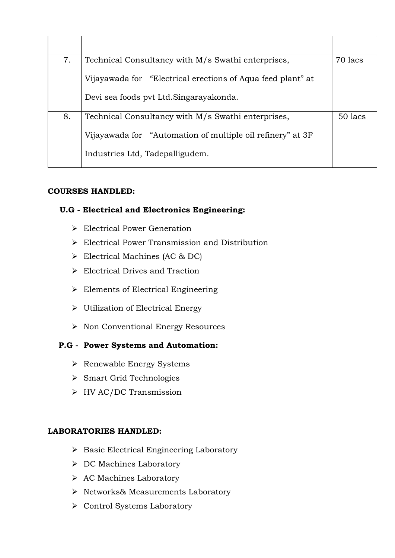| 7. | 70 lacs<br>Technical Consultancy with M/s Swathi enterprises, |         |
|----|---------------------------------------------------------------|---------|
|    | Vijayawada for "Electrical erections of Aqua feed plant" at   |         |
|    | Devi sea foods pvt Ltd. Singarayakonda.                       |         |
| 8. | Technical Consultancy with M/s Swathi enterprises,            | 50 lacs |
|    | Vijayawada for "Automation of multiple oil refinery" at 3F    |         |
|    | Industries Ltd, Tadepalligudem.                               |         |

# COURSES HANDLED:

# U.G - Electrical and Electronics Engineering:

- Electrical Power Generation
- Electrical Power Transmission and Distribution
- Electrical Machines (AC & DC)
- $\triangleright$  Electrical Drives and Traction
- $\triangleright$  Elements of Electrical Engineering
- Utilization of Electrical Energy
- $\triangleright$  Non Conventional Energy Resources

# P.G - Power Systems and Automation:

- $\triangleright$  Renewable Energy Systems
- Smart Grid Technologies
- HV AC/DC Transmission

# LABORATORIES HANDLED:

- $\triangleright$  Basic Electrical Engineering Laboratory
- DC Machines Laboratory
- ▶ AC Machines Laboratory
- > Networks& Measurements Laboratory
- ▶ Control Systems Laboratory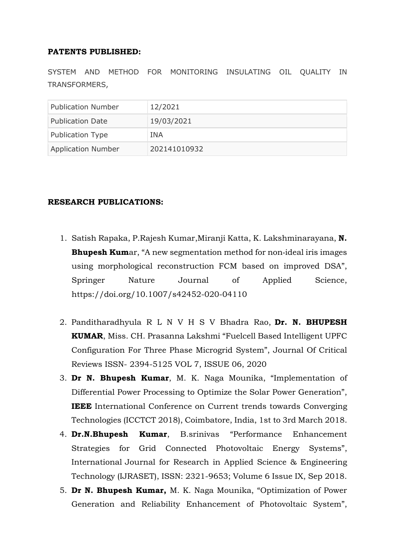#### PATENTS PUBLISHED:

SYSTEM AND METHOD FOR MONITORING INSULATING OIL QUALITY IN TRANSFORMERS,

| <b>Publication Number</b> | 12/2021      |
|---------------------------|--------------|
| <b>Publication Date</b>   | 19/03/2021   |
| Publication Type          | INA          |
| <b>Application Number</b> | 202141010932 |

### RESEARCH PUBLICATIONS:

- 1. Satish Rapaka, P.Rajesh Kumar,Miranji Katta, K. Lakshminarayana, N. **Bhupesh Kum**ar, "A new segmentation method for non-ideal iris images using morphological reconstruction FCM based on improved DSA", Springer Nature Journal of Applied Science, https://doi.org/10.1007/s42452-020-04110
- 2. Panditharadhyula R L N V H S V Bhadra Rao, Dr. N. BHUPESH KUMAR, Miss. CH. Prasanna Lakshmi "Fuelcell Based Intelligent UPFC Configuration For Three Phase Microgrid System", Journal Of Critical Reviews ISSN- 2394-5125 VOL 7, ISSUE 06, 2020
- 3. Dr N. Bhupesh Kumar, M. K. Naga Mounika, "Implementation of Differential Power Processing to Optimize the Solar Power Generation", IEEE International Conference on Current trends towards Converging Technologies (ICCTCT 2018), Coimbatore, India, 1st to 3rd March 2018.
- 4. Dr.N.Bhupesh Kumar, B.srinivas "Performance Enhancement Strategies for Grid Connected Photovoltaic Energy Systems", International Journal for Research in Applied Science & Engineering Technology (IJRASET), ISSN: 2321-9653; Volume 6 Issue IX, Sep 2018.
- 5. Dr N. Bhupesh Kumar, M. K. Naga Mounika, "Optimization of Power Generation and Reliability Enhancement of Photovoltaic System",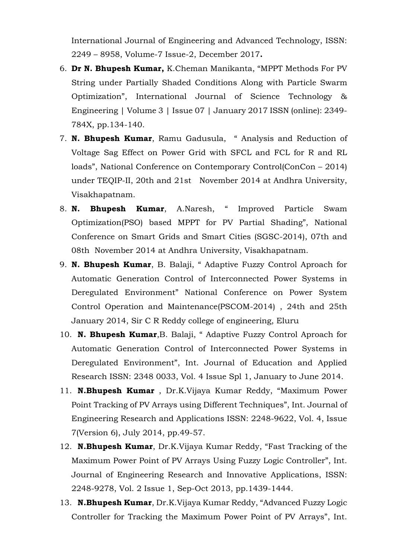International Journal of Engineering and Advanced Technology, ISSN: 2249 – 8958, Volume-7 Issue-2, December 2017.

- 6. Dr N. Bhupesh Kumar, K.Cheman Manikanta, "MPPT Methods For PV String under Partially Shaded Conditions Along with Particle Swarm Optimization", International Journal of Science Technology & Engineering | Volume 3 | Issue 07 | January 2017 ISSN (online): 2349- 784X, pp.134-140.
- 7. N. Bhupesh Kumar, Ramu Gadusula, " Analysis and Reduction of Voltage Sag Effect on Power Grid with SFCL and FCL for R and RL loads", National Conference on Contemporary Control(ConCon – 2014) under TEQIP-II, 20th and 21st November 2014 at Andhra University, Visakhapatnam.
- 8. N. Bhupesh Kumar, A.Naresh, " Improved Particle Swam Optimization(PSO) based MPPT for PV Partial Shading", National Conference on Smart Grids and Smart Cities (SGSC-2014), 07th and 08th November 2014 at Andhra University, Visakhapatnam.
- 9. N. Bhupesh Kumar, B. Balaji, "Adaptive Fuzzy Control Aproach for Automatic Generation Control of Interconnected Power Systems in Deregulated Environment" National Conference on Power System Control Operation and Maintenance(PSCOM-2014) , 24th and 25th January 2014, Sir C R Reddy college of engineering, Eluru
- 10. N. Bhupesh Kumar, B. Balaji, "Adaptive Fuzzy Control Aproach for Automatic Generation Control of Interconnected Power Systems in Deregulated Environment", Int. Journal of Education and Applied Research ISSN: 2348 0033, Vol. 4 Issue Spl 1, January to June 2014.
- 11. N.Bhupesh Kumar, Dr.K.Vijaya Kumar Reddy, "Maximum Power Point Tracking of PV Arrays using Different Techniques", Int. Journal of Engineering Research and Applications ISSN: 2248-9622, Vol. 4, Issue 7(Version 6), July 2014, pp.49-57.
- 12. N.Bhupesh Kumar, Dr.K.Vijaya Kumar Reddy, "Fast Tracking of the Maximum Power Point of PV Arrays Using Fuzzy Logic Controller", Int. Journal of Engineering Research and Innovative Applications, ISSN: 2248-9278, Vol. 2 Issue 1, Sep-Oct 2013, pp.1439-1444.
- 13. N.Bhupesh Kumar, Dr.K.Vijaya Kumar Reddy, "Advanced Fuzzy Logic Controller for Tracking the Maximum Power Point of PV Arrays", Int.